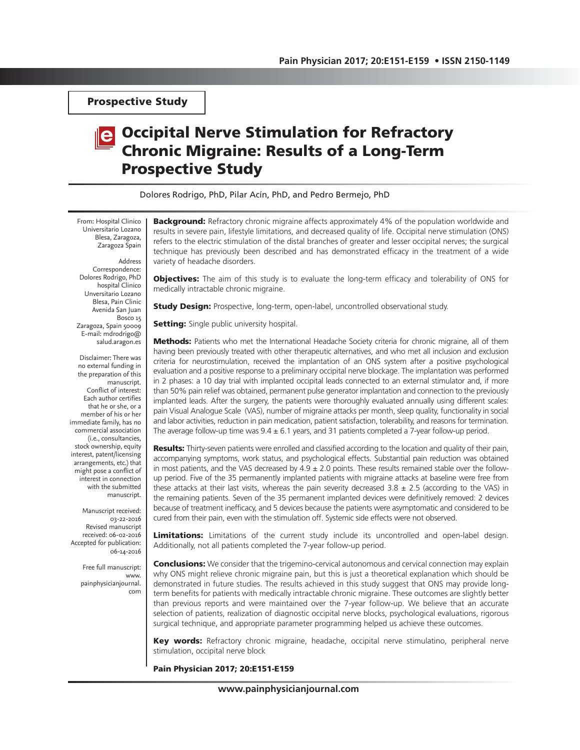Prospective Study

# Occipital Nerve Stimulation for Refractory Chronic Migraine: Results of a Long-Term Prospective Study

Dolores Rodrigo, PhD, Pilar Acín, PhD, and Pedro Bermejo, PhD

From: Hospital Clinico Universitario Lozano Blesa, Zaragoza, Zaragoza Spain

Address Correspondence: Dolores Rodrigo, PhD hospital Clinico Unversitario Lozano Blesa, Pain Clinic Avenida San Juan Bosco 15 Zaragoza, Spain 50009 E-mail: mdrodrigo@ salud.aragon.es

Disclaimer: There was no external funding in the preparation of this manuscript. Conflict of interest: Each author certifies that he or she, or a member of his or her immediate family, has no commercial association (i.e., consultancies, stock ownership, equity interest, patent/licensing arrangements, etc.) that might pose a conflict of interest in connection with the submitted manuscript.

Manuscript received: 03-22-2016 Revised manuscript received: 06-02-2016 Accepted for publication: 06-14-2016

> Free full manuscript: www. painphysicianjournal. com

**Background:** Refractory chronic migraine affects approximately 4% of the population worldwide and results in severe pain, lifestyle limitations, and decreased quality of life. Occipital nerve stimulation (ONS) refers to the electric stimulation of the distal branches of greater and lesser occipital nerves; the surgical technique has previously been described and has demonstrated efficacy in the treatment of a wide variety of headache disorders.

**Objectives:** The aim of this study is to evaluate the long-term efficacy and tolerability of ONS for medically intractable chronic migraine.

**Study Design:** Prospective, long-term, open-label, uncontrolled observational study.

**Setting:** Single public university hospital.

**Methods:** Patients who met the International Headache Society criteria for chronic migraine, all of them having been previously treated with other therapeutic alternatives, and who met all inclusion and exclusion criteria for neurostimulation, received the implantation of an ONS system after a positive psychological evaluation and a positive response to a preliminary occipital nerve blockage. The implantation was performed in 2 phases: a 10 day trial with implanted occipital leads connected to an external stimulator and, if more than 50% pain relief was obtained, permanent pulse generator implantation and connection to the previously implanted leads. After the surgery, the patients were thoroughly evaluated annually using different scales: pain Visual Analogue Scale (VAS), number of migraine attacks per month, sleep quality, functionality in social and labor activities, reduction in pain medication, patient satisfaction, tolerability, and reasons for termination. The average follow-up time was  $9.4 \pm 6.1$  years, and 31 patients completed a 7-year follow-up period.

Results: Thirty-seven patients were enrolled and classified according to the location and quality of their pain, accompanying symptoms, work status, and psychological effects. Substantial pain reduction was obtained in most patients, and the VAS decreased by  $4.9 \pm 2.0$  points. These results remained stable over the followup period. Five of the 35 permanently implanted patients with migraine attacks at baseline were free from these attacks at their last visits, whereas the pain severity decreased  $3.8 \pm 2.5$  (according to the VAS) in the remaining patients. Seven of the 35 permanent implanted devices were definitively removed: 2 devices because of treatment inefficacy, and 5 devices because the patients were asymptomatic and considered to be cured from their pain, even with the stimulation off. Systemic side effects were not observed.

Limitations: Limitations of the current study include its uncontrolled and open-label design. Additionally, not all patients completed the 7-year follow-up period.

**Conclusions:** We consider that the trigemino-cervical autonomous and cervical connection may explain why ONS might relieve chronic migraine pain, but this is just a theoretical explanation which should be demonstrated in future studies. The results achieved in this study suggest that ONS may provide longterm benefits for patients with medically intractable chronic migraine. These outcomes are slightly better than previous reports and were maintained over the 7-year follow-up. We believe that an accurate selection of patients, realization of diagnostic occipital nerve blocks, psychological evaluations, rigorous surgical technique, and appropriate parameter programming helped us achieve these outcomes.

Key words: Refractory chronic migraine, headache, occipital nerve stimulatino, peripheral nerve stimulation, occipital nerve block

Pain Physician 2017; 20:E151-E159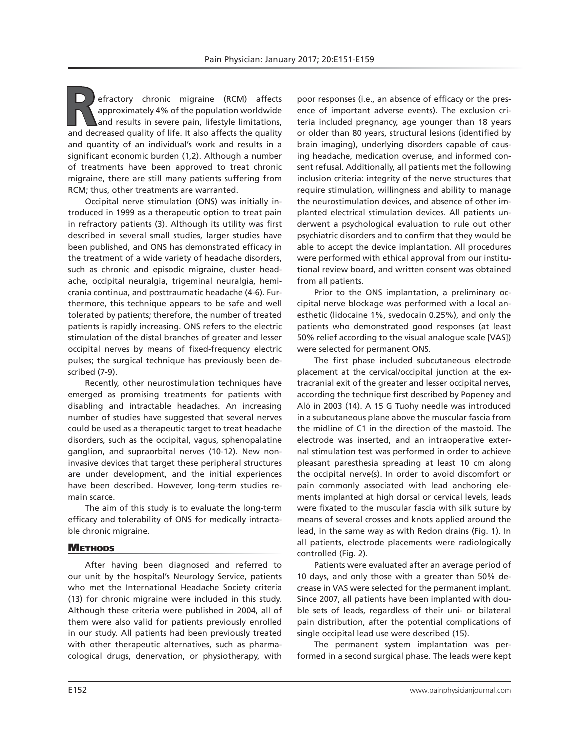efractory chronic migraine (RCM) affects approximately 4% of the population worldwide and results in severe pain, lifestyle limitations, and decreased quality of life. It also affects the quality and quantity of an individual's work and results in a significant economic burden (1,2). Although a number of treatments have been approved to treat chronic migraine, there are still many patients suffering from RCM; thus, other treatments are warranted.

Occipital nerve stimulation (ONS) was initially introduced in 1999 as a therapeutic option to treat pain in refractory patients (3). Although its utility was first described in several small studies, larger studies have been published, and ONS has demonstrated efficacy in the treatment of a wide variety of headache disorders, such as chronic and episodic migraine, cluster headache, occipital neuralgia, trigeminal neuralgia, hemicrania continua, and posttraumatic headache (4-6). Furthermore, this technique appears to be safe and well tolerated by patients; therefore, the number of treated patients is rapidly increasing. ONS refers to the electric stimulation of the distal branches of greater and lesser occipital nerves by means of fixed-frequency electric pulses; the surgical technique has previously been described (7-9).

Recently, other neurostimulation techniques have emerged as promising treatments for patients with disabling and intractable headaches. An increasing number of studies have suggested that several nerves could be used as a therapeutic target to treat headache disorders, such as the occipital, vagus, sphenopalatine ganglion, and supraorbital nerves (10-12). New noninvasive devices that target these peripheral structures are under development, and the initial experiences have been described. However, long-term studies remain scarce.

The aim of this study is to evaluate the long-term efficacy and tolerability of ONS for medically intractable chronic migraine.

#### **METHODS**

After having been diagnosed and referred to our unit by the hospital's Neurology Service, patients who met the International Headache Society criteria (13) for chronic migraine were included in this study. Although these criteria were published in 2004, all of them were also valid for patients previously enrolled in our study. All patients had been previously treated with other therapeutic alternatives, such as pharmacological drugs, denervation, or physiotherapy, with

poor responses (i.e., an absence of efficacy or the presence of important adverse events). The exclusion criteria included pregnancy, age younger than 18 years or older than 80 years, structural lesions (identified by brain imaging), underlying disorders capable of causing headache, medication overuse, and informed consent refusal. Additionally, all patients met the following inclusion criteria: integrity of the nerve structures that require stimulation, willingness and ability to manage the neurostimulation devices, and absence of other implanted electrical stimulation devices. All patients underwent a psychological evaluation to rule out other psychiatric disorders and to confirm that they would be able to accept the device implantation. All procedures were performed with ethical approval from our institutional review board, and written consent was obtained from all patients.

Prior to the ONS implantation, a preliminary occipital nerve blockage was performed with a local anesthetic (lidocaine 1%, svedocain 0.25%), and only the patients who demonstrated good responses (at least 50% relief according to the visual analogue scale [VAS]) were selected for permanent ONS.

The first phase included subcutaneous electrode placement at the cervical/occipital junction at the extracranial exit of the greater and lesser occipital nerves, according the technique first described by Popeney and Aló in 2003 (14). A 15 G Tuohy needle was introduced in a subcutaneous plane above the muscular fascia from the midline of C1 in the direction of the mastoid. The electrode was inserted, and an intraoperative external stimulation test was performed in order to achieve pleasant paresthesia spreading at least 10 cm along the occipital nerve(s). In order to avoid discomfort or pain commonly associated with lead anchoring elements implanted at high dorsal or cervical levels, leads were fixated to the muscular fascia with silk suture by means of several crosses and knots applied around the lead, in the same way as with Redon drains (Fig. 1). In all patients, electrode placements were radiologically controlled (Fig. 2).

Patients were evaluated after an average period of 10 days, and only those with a greater than 50% decrease in VAS were selected for the permanent implant. Since 2007, all patients have been implanted with double sets of leads, regardless of their uni- or bilateral pain distribution, after the potential complications of single occipital lead use were described (15).

The permanent system implantation was performed in a second surgical phase. The leads were kept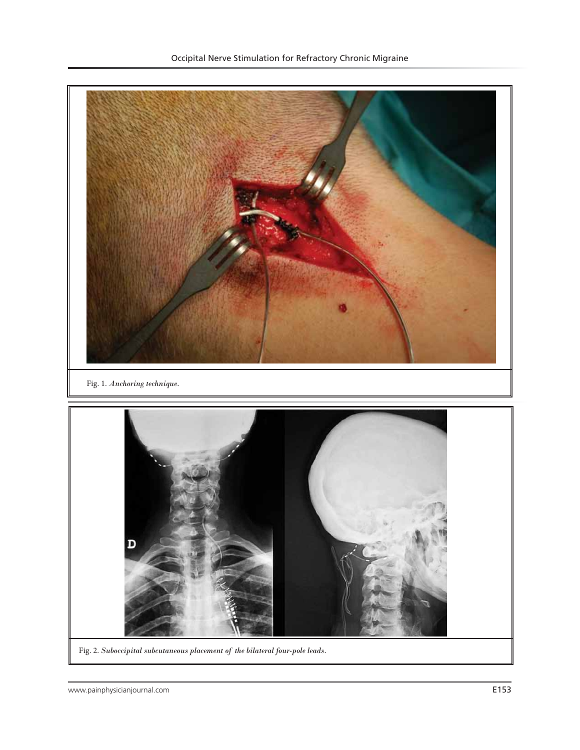

Fig. 2. *Suboccipital subcutaneous placement of the bilateral four-pole leads.*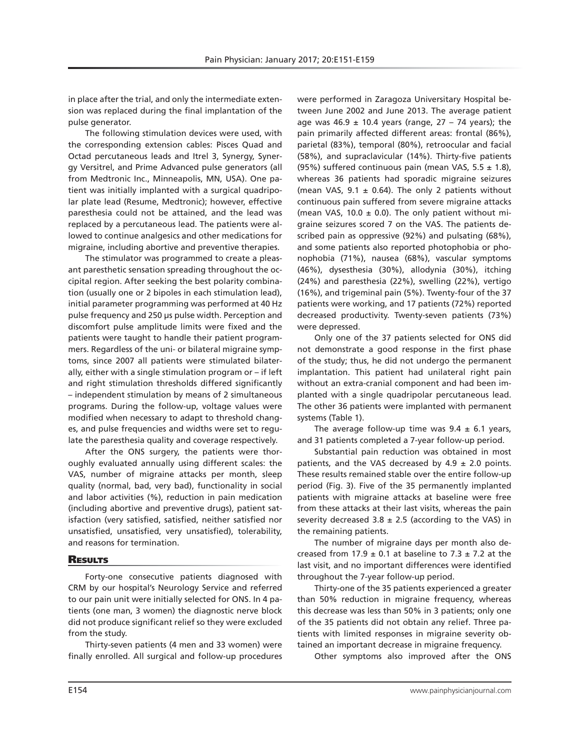in place after the trial, and only the intermediate extension was replaced during the final implantation of the pulse generator.

The following stimulation devices were used, with the corresponding extension cables: Pisces Quad and Octad percutaneous leads and Itrel 3, Synergy, Synergy Versitrel, and Prime Advanced pulse generators (all from Medtronic Inc., Minneapolis, MN, USA). One patient was initially implanted with a surgical quadripolar plate lead (Resume, Medtronic); however, effective paresthesia could not be attained, and the lead was replaced by a percutaneous lead. The patients were allowed to continue analgesics and other medications for migraine, including abortive and preventive therapies.

The stimulator was programmed to create a pleasant paresthetic sensation spreading throughout the occipital region. After seeking the best polarity combination (usually one or 2 bipoles in each stimulation lead), initial parameter programming was performed at 40 Hz pulse frequency and 250 µs pulse width. Perception and discomfort pulse amplitude limits were fixed and the patients were taught to handle their patient programmers. Regardless of the uni- or bilateral migraine symptoms, since 2007 all patients were stimulated bilaterally, either with a single stimulation program or – if left and right stimulation thresholds differed significantly – independent stimulation by means of 2 simultaneous programs. During the follow-up, voltage values were modified when necessary to adapt to threshold changes, and pulse frequencies and widths were set to regulate the paresthesia quality and coverage respectively.

After the ONS surgery, the patients were thoroughly evaluated annually using different scales: the VAS, number of migraine attacks per month, sleep quality (normal, bad, very bad), functionality in social and labor activities (%), reduction in pain medication (including abortive and preventive drugs), patient satisfaction (very satisfied, satisfied, neither satisfied nor unsatisfied, unsatisfied, very unsatisfied), tolerability, and reasons for termination.

#### **RESULTS**

Forty-one consecutive patients diagnosed with CRM by our hospital's Neurology Service and referred to our pain unit were initially selected for ONS. In 4 patients (one man, 3 women) the diagnostic nerve block did not produce significant relief so they were excluded from the study.

Thirty-seven patients (4 men and 33 women) were finally enrolled. All surgical and follow-up procedures

were performed in Zaragoza Universitary Hospital between June 2002 and June 2013. The average patient age was 46.9  $\pm$  10.4 years (range, 27 – 74 years); the pain primarily affected different areas: frontal (86%), parietal (83%), temporal (80%), retroocular and facial (58%), and supraclavicular (14%). Thirty-five patients (95%) suffered continuous pain (mean VAS,  $5.5 \pm 1.8$ ), whereas 36 patients had sporadic migraine seizures (mean VAS,  $9.1 \pm 0.64$ ). The only 2 patients without continuous pain suffered from severe migraine attacks (mean VAS, 10.0  $\pm$  0.0). The only patient without migraine seizures scored 7 on the VAS. The patients described pain as oppressive (92%) and pulsating (68%), and some patients also reported photophobia or phonophobia (71%), nausea (68%), vascular symptoms (46%), dysesthesia (30%), allodynia (30%), itching (24%) and paresthesia (22%), swelling (22%), vertigo (16%), and trigeminal pain (5%). Twenty-four of the 37 patients were working, and 17 patients (72%) reported decreased productivity. Twenty-seven patients (73%) were depressed.

Only one of the 37 patients selected for ONS did not demonstrate a good response in the first phase of the study; thus, he did not undergo the permanent implantation. This patient had unilateral right pain without an extra-cranial component and had been implanted with a single quadripolar percutaneous lead. The other 36 patients were implanted with permanent systems (Table 1).

The average follow-up time was  $9.4 \pm 6.1$  years, and 31 patients completed a 7-year follow-up period.

Substantial pain reduction was obtained in most patients, and the VAS decreased by  $4.9 \pm 2.0$  points. These results remained stable over the entire follow-up period (Fig. 3). Five of the 35 permanently implanted patients with migraine attacks at baseline were free from these attacks at their last visits, whereas the pain severity decreased 3.8  $\pm$  2.5 (according to the VAS) in the remaining patients.

The number of migraine days per month also decreased from 17.9  $\pm$  0.1 at baseline to 7.3  $\pm$  7.2 at the last visit, and no important differences were identified throughout the 7-year follow-up period.

Thirty-one of the 35 patients experienced a greater than 50% reduction in migraine frequency, whereas this decrease was less than 50% in 3 patients; only one of the 35 patients did not obtain any relief. Three patients with limited responses in migraine severity obtained an important decrease in migraine frequency.

Other symptoms also improved after the ONS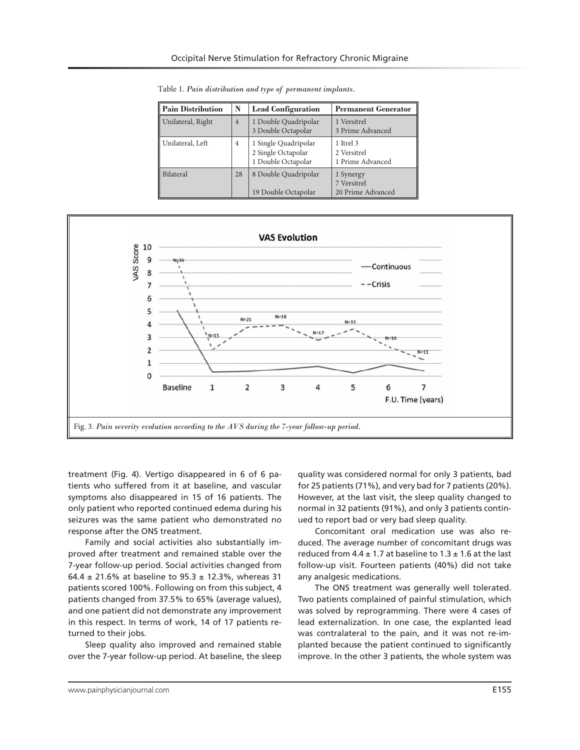| Pain Distribution | N              | <b>Lead Configuration</b>                                        | <b>Permanent Generator</b>                    |
|-------------------|----------------|------------------------------------------------------------------|-----------------------------------------------|
| Unilateral, Right | $\overline{4}$ | 1 Double Quadripolar<br>3 Double Octapolar                       | 1 Versitrel<br>3 Prime Advanced               |
| Unilateral, Left  | $\overline{4}$ | 1 Single Quadripolar<br>2 Single Octapolar<br>1 Double Octapolar | 1 Itrel 3<br>2 Versitrel<br>1 Prime Advanced  |
| <b>Bilateral</b>  | 28             | 8 Double Quadripolar<br>19 Double Octapolar                      | 1 Synergy<br>7 Versitrel<br>20 Prime Advanced |

Table 1. *Pain distribution and type of permanent implants.*



treatment (Fig. 4). Vertigo disappeared in 6 of 6 patients who suffered from it at baseline, and vascular symptoms also disappeared in 15 of 16 patients. The only patient who reported continued edema during his seizures was the same patient who demonstrated no response after the ONS treatment.

Family and social activities also substantially improved after treatment and remained stable over the 7-year follow-up period. Social activities changed from 64.4  $\pm$  21.6% at baseline to 95.3  $\pm$  12.3%, whereas 31 patients scored 100%. Following on from this subject, 4 patients changed from 37.5% to 65% (average values), and one patient did not demonstrate any improvement in this respect. In terms of work, 14 of 17 patients returned to their jobs.

Sleep quality also improved and remained stable over the 7-year follow-up period. At baseline, the sleep

quality was considered normal for only 3 patients, bad for 25 patients (71%), and very bad for 7 patients (20%). However, at the last visit, the sleep quality changed to normal in 32 patients (91%), and only 3 patients continued to report bad or very bad sleep quality.

Concomitant oral medication use was also reduced. The average number of concomitant drugs was reduced from 4.4  $\pm$  1.7 at baseline to 1.3  $\pm$  1.6 at the last follow-up visit. Fourteen patients (40%) did not take any analgesic medications.

The ONS treatment was generally well tolerated. Two patients complained of painful stimulation, which was solved by reprogramming. There were 4 cases of lead externalization. In one case, the explanted lead was contralateral to the pain, and it was not re-implanted because the patient continued to significantly improve. In the other 3 patients, the whole system was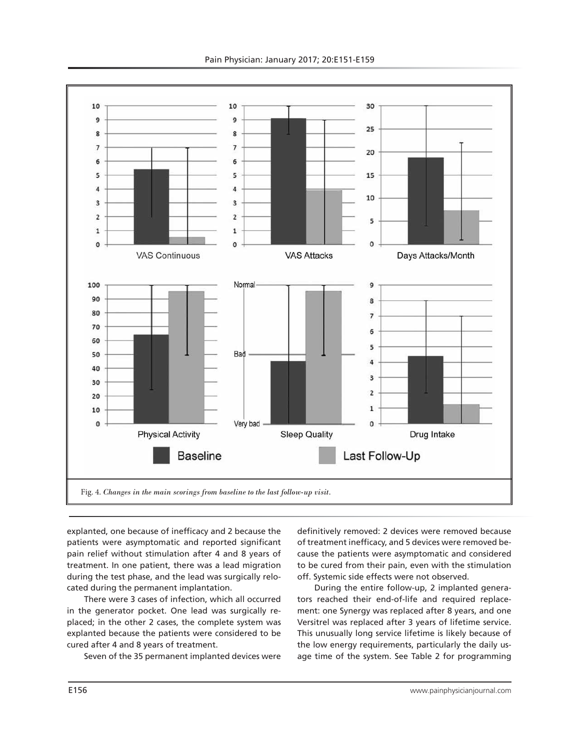

explanted, one because of inefficacy and 2 because the patients were asymptomatic and reported significant pain relief without stimulation after 4 and 8 years of treatment. In one patient, there was a lead migration during the test phase, and the lead was surgically relocated during the permanent implantation.

There were 3 cases of infection, which all occurred in the generator pocket. One lead was surgically replaced; in the other 2 cases, the complete system was explanted because the patients were considered to be cured after 4 and 8 years of treatment.

Seven of the 35 permanent implanted devices were

definitively removed: 2 devices were removed because of treatment inefficacy, and 5 devices were removed because the patients were asymptomatic and considered to be cured from their pain, even with the stimulation off. Systemic side effects were not observed.

During the entire follow-up, 2 implanted generators reached their end-of-life and required replacement: one Synergy was replaced after 8 years, and one Versitrel was replaced after 3 years of lifetime service. This unusually long service lifetime is likely because of the low energy requirements, particularly the daily usage time of the system. See Table 2 for programming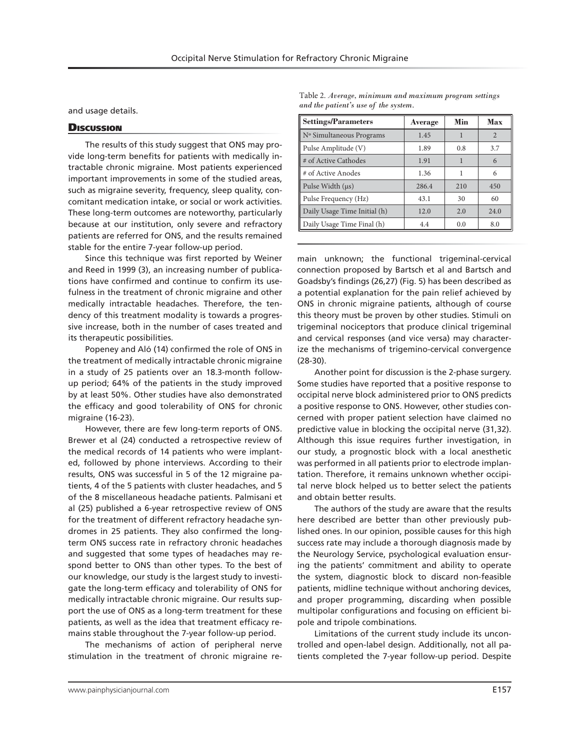and usage details.

#### **Discussion**

The results of this study suggest that ONS may provide long-term benefits for patients with medically intractable chronic migraine. Most patients experienced important improvements in some of the studied areas, such as migraine severity, frequency, sleep quality, concomitant medication intake, or social or work activities. These long-term outcomes are noteworthy, particularly because at our institution, only severe and refractory patients are referred for ONS, and the results remained stable for the entire 7-year follow-up period.

Since this technique was first reported by Weiner and Reed in 1999 (3), an increasing number of publications have confirmed and continue to confirm its usefulness in the treatment of chronic migraine and other medically intractable headaches. Therefore, the tendency of this treatment modality is towards a progressive increase, both in the number of cases treated and its therapeutic possibilities.

Popeney and Aló (14) confirmed the role of ONS in the treatment of medically intractable chronic migraine in a study of 25 patients over an 18.3-month followup period; 64% of the patients in the study improved by at least 50%. Other studies have also demonstrated the efficacy and good tolerability of ONS for chronic migraine (16-23).

However, there are few long-term reports of ONS. Brewer et al (24) conducted a retrospective review of the medical records of 14 patients who were implanted, followed by phone interviews. According to their results, ONS was successful in 5 of the 12 migraine patients, 4 of the 5 patients with cluster headaches, and 5 of the 8 miscellaneous headache patients. Palmisani et al (25) published a 6-year retrospective review of ONS for the treatment of different refractory headache syndromes in 25 patients. They also confirmed the longterm ONS success rate in refractory chronic headaches and suggested that some types of headaches may respond better to ONS than other types. To the best of our knowledge, our study is the largest study to investigate the long-term efficacy and tolerability of ONS for medically intractable chronic migraine. Our results support the use of ONS as a long-term treatment for these patients, as well as the idea that treatment efficacy remains stable throughout the 7-year follow-up period.

The mechanisms of action of peripheral nerve stimulation in the treatment of chronic migraine re-

Table 2. *Average, minimum and maximum program settings and the patient's use of the system.*

| <b>Settings/Parameters</b>   | Average | Min | Max            |
|------------------------------|---------|-----|----------------|
| Nº Simultaneous Programs     | 1.45    |     | $\overline{2}$ |
| Pulse Amplitude (V)          | 1.89    | 0.8 | 3.7            |
| # of Active Cathodes         | 1.91    |     | 6              |
| # of Active Anodes           | 1.36    | 1   | 6              |
| Pulse Width $(\mu s)$        | 286.4   | 210 | 450            |
| Pulse Frequency (Hz)         | 43.1    | 30  | 60             |
| Daily Usage Time Initial (h) | 12.0    | 2.0 | 24.0           |
| Daily Usage Time Final (h)   | 4.4     | 0.0 | 8.0            |

main unknown; the functional trigeminal-cervical connection proposed by Bartsch et al and Bartsch and Goadsby's findings (26,27) (Fig. 5) has been described as a potential explanation for the pain relief achieved by ONS in chronic migraine patients, although of course this theory must be proven by other studies. Stimuli on trigeminal nociceptors that produce clinical trigeminal and cervical responses (and vice versa) may characterize the mechanisms of trigemino-cervical convergence (28-30).

Another point for discussion is the 2-phase surgery. Some studies have reported that a positive response to occipital nerve block administered prior to ONS predicts a positive response to ONS. However, other studies concerned with proper patient selection have claimed no predictive value in blocking the occipital nerve (31,32). Although this issue requires further investigation, in our study, a prognostic block with a local anesthetic was performed in all patients prior to electrode implantation. Therefore, it remains unknown whether occipital nerve block helped us to better select the patients and obtain better results.

The authors of the study are aware that the results here described are better than other previously published ones. In our opinion, possible causes for this high success rate may include a thorough diagnosis made by the Neurology Service, psychological evaluation ensuring the patients' commitment and ability to operate the system, diagnostic block to discard non-feasible patients, midline technique without anchoring devices, and proper programming, discarding when possible multipolar configurations and focusing on efficient bipole and tripole combinations.

Limitations of the current study include its uncontrolled and open-label design. Additionally, not all patients completed the 7-year follow-up period. Despite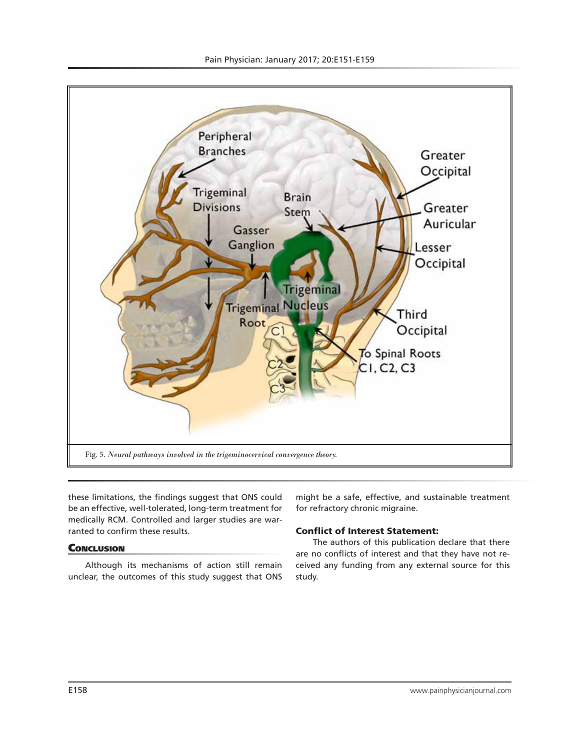

these limitations, the findings suggest that ONS could be an effective, well-tolerated, long-term treatment for medically RCM. Controlled and larger studies are warranted to confirm these results.

## **CONCLUSION**

Although its mechanisms of action still remain unclear, the outcomes of this study suggest that ONS

might be a safe, effective, and sustainable treatment for refractory chronic migraine.

## Conflict of Interest Statement:

The authors of this publication declare that there are no conflicts of interest and that they have not received any funding from any external source for this study.